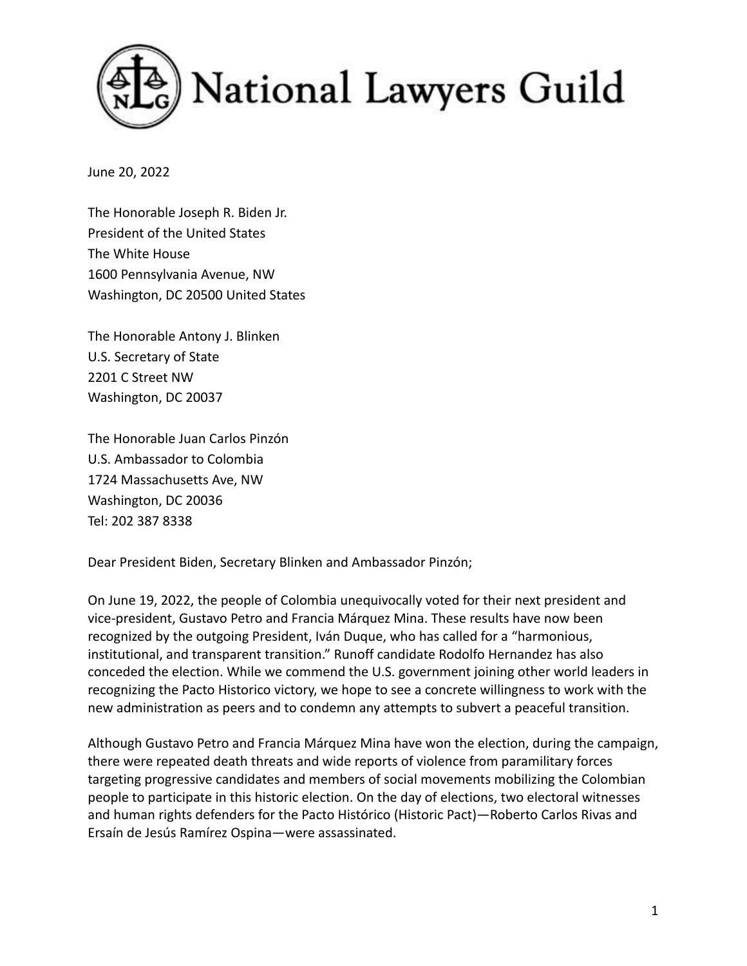

June 20, 2022

The Honorable Joseph R. Biden Jr. President of the United States The White House 1600 Pennsylvania Avenue, NW Washington, DC 20500 United States

The Honorable Antony J. Blinken U.S. Secretary of State 2201 C Street NW Washington, DC 20037

The Honorable Juan Carlos Pinzón U.S. Ambassador to Colombia 1724 Massachusetts Ave, NW Washington, DC 20036 Tel: 202 387 8338

Dear President Biden, Secretary Blinken and Ambassador Pinzón;

On June 19, 2022, the people of Colombia unequivocally voted for their next president and vice-president, Gustavo Petro and Francia Márquez Mina. These results have now been recognized by the outgoing President, Iván Duque, who has called for a "harmonious, institutional, and transparent transition." Runoff candidate Rodolfo Hernandez has also conceded the election. While we commend the U.S. government joining other world leaders in recognizing the Pacto Historico victory, we hope to see a concrete willingness to work with the new administration as peers and to condemn any attempts to subvert a peaceful transition.

Although Gustavo Petro and Francia Márquez Mina have won the election, during the campaign, there were repeated death threats and wide reports of violence from paramilitary forces targeting progressive candidates and members of social movements mobilizing the Colombian people to participate in this historic election. On the day of elections, two electoral witnesses and human rights defenders for the Pacto Histórico (Historic Pact)—Roberto Carlos Rivas and Ersaín de Jesús Ramírez Ospina—were assassinated.